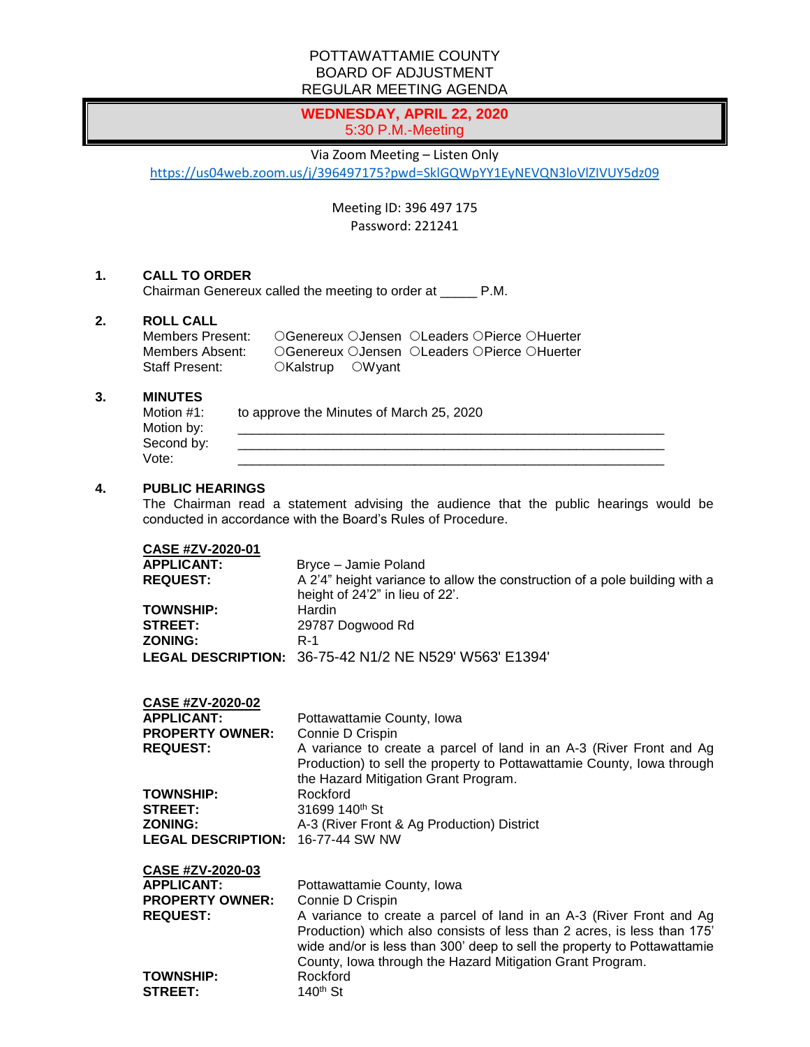## POTTAWATTAMIE COUNTY BOARD OF ADJUSTMENT REGULAR MEETING AGENDA

# **WEDNESDAY, APRIL 22, 2020** 5:30 P.M.-Meeting

#### Via Zoom Meeting – Listen Only

<https://us04web.zoom.us/j/396497175?pwd=SklGQWpYY1EyNEVQN3loVlZIVUY5dz09>

Meeting ID: 396 497 175 Password: 221241

#### **1. CALL TO ORDER**

Chairman Genereux called the meeting to order at \_\_\_\_\_ P.M.

# **2. ROLL CALL**

| Members Present: |                  | ○Genereux ○Jensen ○Leaders ○Pierce ○Huerter |
|------------------|------------------|---------------------------------------------|
| Members Absent:  |                  | ○Genereux ○Jensen ○Leaders ○Pierce ○Huerter |
| Staff Present:   | ○Kalstrup ○Wyant |                                             |

#### **3. MINUTES**

| Motion #1: | to approve the Minutes of March 25, 2020 |
|------------|------------------------------------------|
| Motion by: |                                          |
| Second by: |                                          |
| Vote:      |                                          |

### **4. PUBLIC HEARINGS**

The Chairman read a statement advising the audience that the public hearings would be conducted in accordance with the Board's Rules of Procedure.

#### **CASE #ZV-2020-01**

| <b>APPLICANT:</b> | Bryce - Jamie Poland                                                                                          |
|-------------------|---------------------------------------------------------------------------------------------------------------|
| <b>REQUEST:</b>   | A 2'4" height variance to allow the construction of a pole building with a<br>height of 24'2" in lieu of 22'. |
| <b>TOWNSHIP:</b>  | Hardin                                                                                                        |
| <b>STREET:</b>    | 29787 Dogwood Rd                                                                                              |
| <b>ZONING:</b>    | R-1                                                                                                           |
|                   | LEGAL DESCRIPTION: 36-75-42 N1/2 NE N529' W563' E1394'                                                        |

| CASE #ZV-2020-02                         |                                                                        |
|------------------------------------------|------------------------------------------------------------------------|
| <b>APPLICANT:</b>                        | Pottawattamie County, Iowa                                             |
| <b>PROPERTY OWNER:</b>                   | Connie D Crispin                                                       |
| <b>REQUEST:</b>                          | A variance to create a parcel of land in an A-3 (River Front and Ag    |
|                                          | Production) to sell the property to Pottawattamie County, Iowa through |
|                                          | the Hazard Mitigation Grant Program.                                   |
| <b>TOWNSHIP:</b>                         | Rockford                                                               |
| <b>STREET:</b>                           | 31699 140 <sup>th</sup> St                                             |
| <b>ZONING:</b>                           | A-3 (River Front & Ag Production) District                             |
| <b>LEGAL DESCRIPTION: 16-77-44 SW NW</b> |                                                                        |
| CASE #ZV-2020-03                         |                                                                        |

| <b>APPLICANT:</b>      | Pottawattamie County, Iowa                                                                                                                    |
|------------------------|-----------------------------------------------------------------------------------------------------------------------------------------------|
| <b>PROPERTY OWNER:</b> | Connie D Crispin                                                                                                                              |
| <b>REQUEST:</b>        | A variance to create a parcel of land in an A-3 (River Front and Ag<br>Production) which also consists of less than 2 acres, is less than 175 |
|                        | wide and/or is less than 300' deep to sell the property to Pottawattamie                                                                      |
|                        | County, Iowa through the Hazard Mitigation Grant Program.                                                                                     |
| <b>TOWNSHIP:</b>       | Rockford                                                                                                                                      |
| <b>STREET:</b>         | $140th$ St                                                                                                                                    |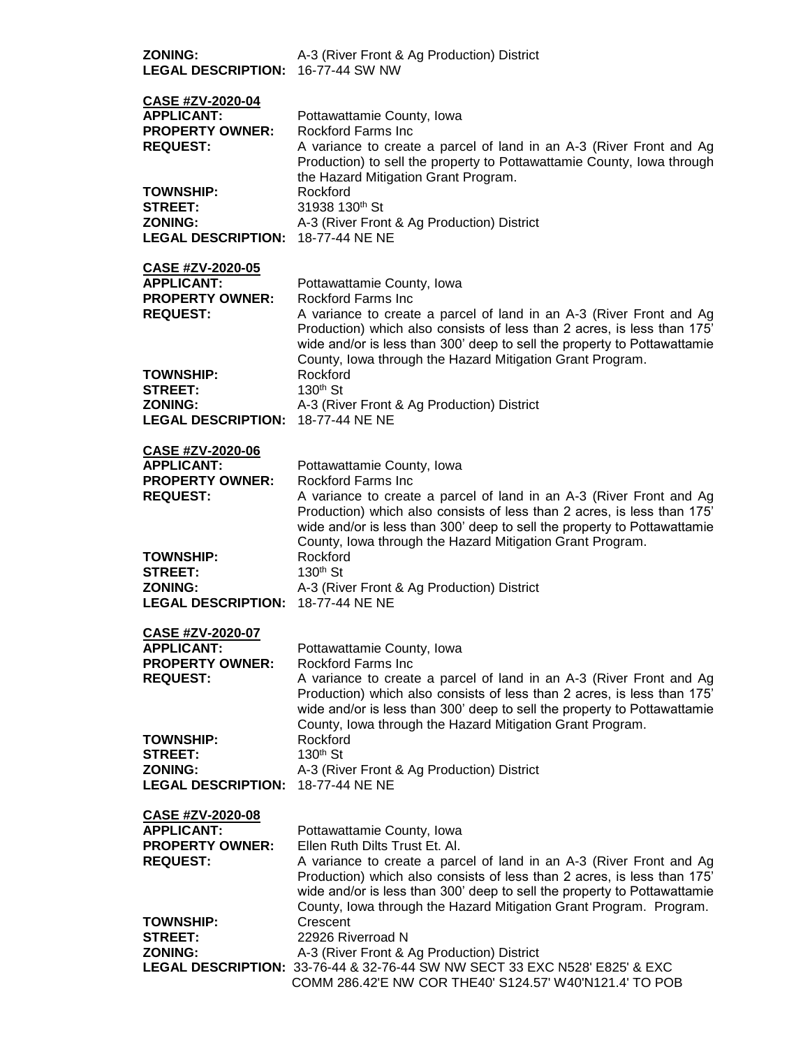| <b>ZONING:</b><br>LEGAL DESCRIPTION: 16-77-44 SW NW                                                                             | A-3 (River Front & Ag Production) District                                                                                                                                                                                                                                                                                                                       |
|---------------------------------------------------------------------------------------------------------------------------------|------------------------------------------------------------------------------------------------------------------------------------------------------------------------------------------------------------------------------------------------------------------------------------------------------------------------------------------------------------------|
| <b>CASE #ZV-2020-04</b><br><b>APPLICANT:</b><br><b>PROPERTY OWNER:</b><br><b>REQUEST:</b><br><b>TOWNSHIP:</b><br><b>STREET:</b> | Pottawattamie County, Iowa<br>Rockford Farms Inc.<br>A variance to create a parcel of land in an A-3 (River Front and Ag<br>Production) to sell the property to Pottawattamie County, Iowa through<br>the Hazard Mitigation Grant Program.<br>Rockford<br>31938 130th St                                                                                         |
| <b>ZONING:</b><br>LEGAL DESCRIPTION: 18-77-44 NE NE                                                                             | A-3 (River Front & Ag Production) District                                                                                                                                                                                                                                                                                                                       |
| CASE #ZV-2020-05<br><b>APPLICANT:</b><br><b>PROPERTY OWNER:</b><br><b>REQUEST:</b>                                              | Pottawattamie County, Iowa<br>Rockford Farms Inc<br>A variance to create a parcel of land in an A-3 (River Front and Ag<br>Production) which also consists of less than 2 acres, is less than 175'<br>wide and/or is less than 300' deep to sell the property to Pottawattamie<br>County, Iowa through the Hazard Mitigation Grant Program.                      |
| <b>TOWNSHIP:</b><br><b>STREET:</b><br><b>ZONING:</b><br>LEGAL DESCRIPTION: 18-77-44 NE NE                                       | Rockford<br>130 <sup>th</sup> St<br>A-3 (River Front & Ag Production) District                                                                                                                                                                                                                                                                                   |
| <b>CASE #ZV-2020-06</b><br><b>APPLICANT:</b><br><b>PROPERTY OWNER:</b><br><b>REQUEST:</b>                                       | Pottawattamie County, Iowa<br><b>Rockford Farms Inc</b><br>A variance to create a parcel of land in an A-3 (River Front and Ag<br>Production) which also consists of less than 2 acres, is less than 175'<br>wide and/or is less than 300' deep to sell the property to Pottawattamie                                                                            |
| <b>TOWNSHIP:</b><br><b>STREET:</b><br><b>ZONING:</b><br>LEGAL DESCRIPTION: 18-77-44 NE NE                                       | County, Iowa through the Hazard Mitigation Grant Program.<br>Rockford<br>$130th$ St<br>A-3 (River Front & Ag Production) District                                                                                                                                                                                                                                |
| CASE #ZV-2020-07                                                                                                                |                                                                                                                                                                                                                                                                                                                                                                  |
| <b>APPLICANT:</b><br><b>PROPERTY OWNER:</b><br><b>REQUEST:</b>                                                                  | Pottawattamie County, Iowa<br><b>Rockford Farms Inc</b><br>A variance to create a parcel of land in an A-3 (River Front and Ag<br>Production) which also consists of less than 2 acres, is less than 175'<br>wide and/or is less than 300' deep to sell the property to Pottawattamie<br>County, Iowa through the Hazard Mitigation Grant Program.               |
| <b>TOWNSHIP:</b><br><b>STREET:</b><br><b>ZONING:</b><br><b>LEGAL DESCRIPTION: 18-77-44 NE NE</b>                                | Rockford<br>130 <sup>th</sup> St<br>A-3 (River Front & Ag Production) District                                                                                                                                                                                                                                                                                   |
| CASE #ZV-2020-08<br><b>APPLICANT:</b><br><b>PROPERTY OWNER:</b><br><b>REQUEST:</b>                                              | Pottawattamie County, Iowa<br>Ellen Ruth Dilts Trust Et. Al.<br>A variance to create a parcel of land in an A-3 (River Front and Ag<br>Production) which also consists of less than 2 acres, is less than 175'<br>wide and/or is less than 300' deep to sell the property to Pottawattamie<br>County, Iowa through the Hazard Mitigation Grant Program. Program. |
| <b>TOWNSHIP:</b><br>STREET:<br><b>ZONING:</b>                                                                                   | Crescent<br>22926 Riverroad N<br>A-3 (River Front & Ag Production) District<br>LEGAL DESCRIPTION: 33-76-44 & 32-76-44 SW NW SECT 33 EXC N528' E825' & EXC<br>COMM 286.42'E NW COR THE40' S124.57' W40'N121.4' TO POB                                                                                                                                             |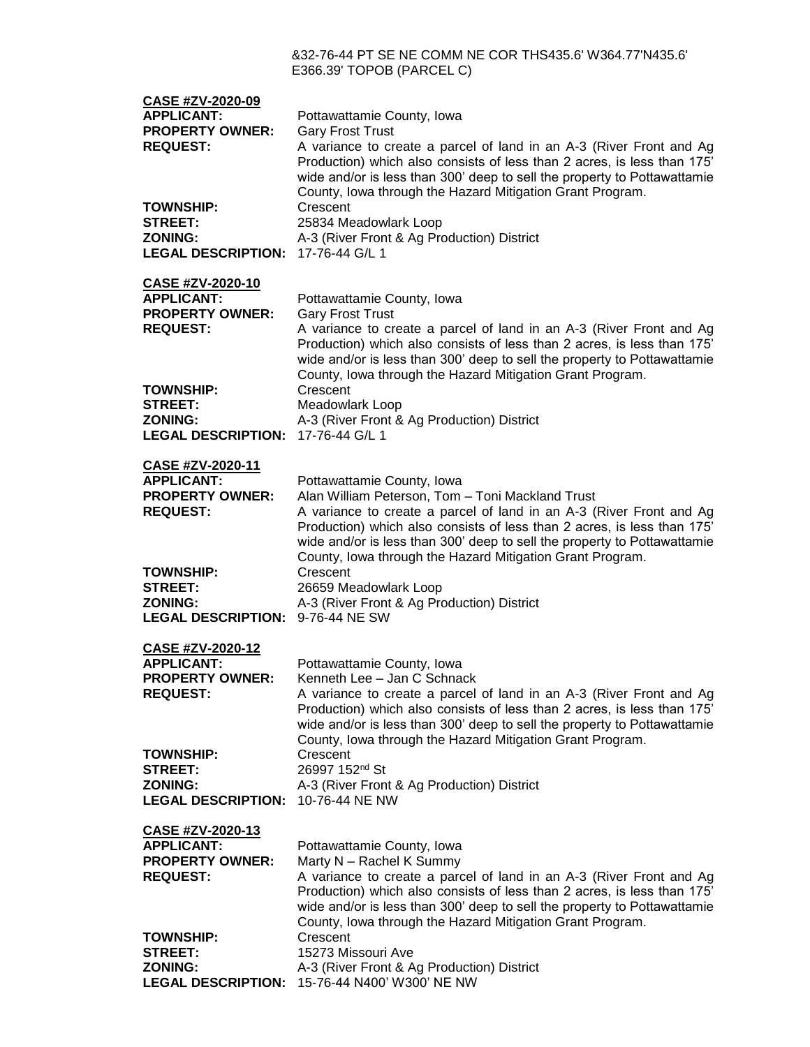### &32-76-44 PT SE NE COMM NE COR THS435.6' W364.77'N435.6' E366.39' TOPOB (PARCEL C)

| CASE #ZV-2020-09<br><b>APPLICANT:</b><br><b>PROPERTY OWNER:</b><br><b>REQUEST:</b><br><b>TOWNSHIP:</b><br><b>STREET:</b><br><b>ZONING:</b> | Pottawattamie County, Iowa<br><b>Gary Frost Trust</b><br>A variance to create a parcel of land in an A-3 (River Front and Ag<br>Production) which also consists of less than 2 acres, is less than 175'<br>wide and/or is less than 300' deep to sell the property to Pottawattamie<br>County, Iowa through the Hazard Mitigation Grant Program.<br>Crescent<br>25834 Meadowlark Loop<br>A-3 (River Front & Ag Production) District |
|--------------------------------------------------------------------------------------------------------------------------------------------|-------------------------------------------------------------------------------------------------------------------------------------------------------------------------------------------------------------------------------------------------------------------------------------------------------------------------------------------------------------------------------------------------------------------------------------|
| <b>LEGAL DESCRIPTION: 17-76-44 G/L 1</b>                                                                                                   |                                                                                                                                                                                                                                                                                                                                                                                                                                     |
| CASE #ZV-2020-10<br><b>APPLICANT:</b><br><b>PROPERTY OWNER:</b><br><b>REQUEST:</b>                                                         | Pottawattamie County, Iowa<br><b>Gary Frost Trust</b><br>A variance to create a parcel of land in an A-3 (River Front and Ag<br>Production) which also consists of less than 2 acres, is less than 175'<br>wide and/or is less than 300' deep to sell the property to Pottawattamie<br>County, Iowa through the Hazard Mitigation Grant Program.                                                                                    |
| <b>TOWNSHIP:</b><br><b>STREET:</b><br><b>ZONING:</b><br>LEGAL DESCRIPTION: 17-76-44 G/L 1                                                  | Crescent<br>Meadowlark Loop<br>A-3 (River Front & Ag Production) District                                                                                                                                                                                                                                                                                                                                                           |
| CASE #ZV-2020-11                                                                                                                           |                                                                                                                                                                                                                                                                                                                                                                                                                                     |
| <b>APPLICANT:</b><br><b>PROPERTY OWNER:</b><br><b>REQUEST:</b>                                                                             | Pottawattamie County, Iowa<br>Alan William Peterson, Tom - Toni Mackland Trust<br>A variance to create a parcel of land in an A-3 (River Front and Ag<br>Production) which also consists of less than 2 acres, is less than 175'<br>wide and/or is less than 300' deep to sell the property to Pottawattamie<br>County, Iowa through the Hazard Mitigation Grant Program.                                                           |
| <b>TOWNSHIP:</b><br><b>STREET:</b><br><b>ZONING:</b><br>LEGAL DESCRIPTION: 9-76-44 NE SW                                                   | Crescent<br>26659 Meadowlark Loop<br>A-3 (River Front & Ag Production) District                                                                                                                                                                                                                                                                                                                                                     |
| CASE #ZV-2020-12<br><b>APPLICANT:</b><br><b>PROPERTY OWNER:</b><br><b>REQUEST:</b>                                                         | Pottawattamie County, Iowa<br>Kenneth Lee - Jan C Schnack<br>A variance to create a parcel of land in an A-3 (River Front and Ag<br>Production) which also consists of less than 2 acres, is less than 175'<br>wide and/or is less than 300' deep to sell the property to Pottawattamie<br>County, Iowa through the Hazard Mitigation Grant Program.                                                                                |
| <b>TOWNSHIP:</b><br><b>STREET:</b><br><b>ZONING:</b><br><b>LEGAL DESCRIPTION:</b>                                                          | Crescent<br>26997 152 <sup>nd</sup> St<br>A-3 (River Front & Ag Production) District<br>10-76-44 NE NW                                                                                                                                                                                                                                                                                                                              |
| CASE #ZV-2020-13<br><b>APPLICANT:</b><br><b>PROPERTY OWNER:</b><br><b>REQUEST:</b>                                                         | Pottawattamie County, Iowa<br>Marty N - Rachel K Summy<br>A variance to create a parcel of land in an A-3 (River Front and Ag<br>Production) which also consists of less than 2 acres, is less than 175'<br>wide and/or is less than 300' deep to sell the property to Pottawattamie<br>County, Iowa through the Hazard Mitigation Grant Program.                                                                                   |
| <b>TOWNSHIP:</b><br><b>STREET:</b><br><b>ZONING:</b><br><b>LEGAL DESCRIPTION:</b>                                                          | Crescent<br>15273 Missouri Ave<br>A-3 (River Front & Ag Production) District<br>15-76-44 N400' W300' NE NW                                                                                                                                                                                                                                                                                                                          |